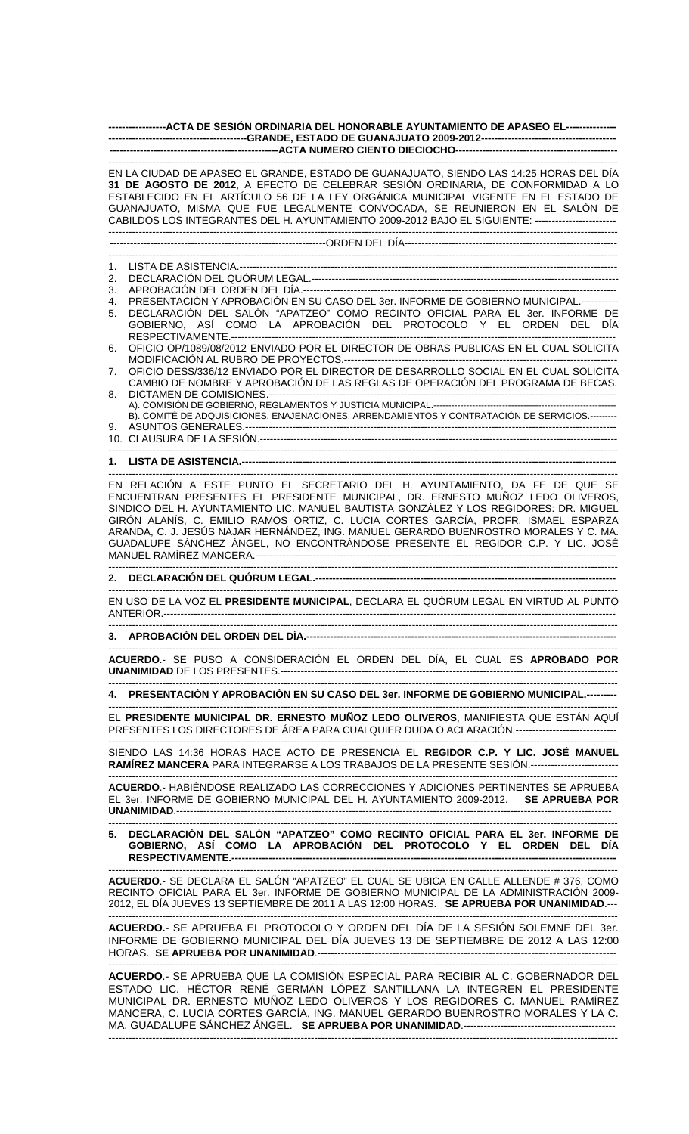**-----------------ACTA DE SESIÓN ORDINARIA DEL HONORABLE AYUNTAMIENTO DE APASEO EL--------------- -----------------------------------------GRANDE, ESTADO DE GUANAJUATO 2009-2012---------------------------------------- --------------------------------------------------ACTA NUMERO CIENTO DIECIOCHO------------------------------------------------**  ------------------------------------------------------------------------------------------------------------------------------------------------------- EN LA CIUDAD DE APASEO EL GRANDE, ESTADO DE GUANAJUATO, SIENDO LAS 14:25 HORAS DEL DÍA

**31 DE AGOSTO DE 2012**, A EFECTO DE CELEBRAR SESIÓN ORDINARIA, DE CONFORMIDAD A LO ESTABLECIDO EN EL ARTÍCULO 56 DE LA LEY ORGÁNICA MUNICIPAL VIGENTE EN EL ESTADO DE GUANAJUATO, MISMA QUE FUE LEGALMENTE CONVOCADA, SE REUNIERON EN EL SALÓN DE CABILDOS LOS INTEGRANTES DEL H. AYUNTAMIENTO 2009-2012 BAJO EL SIGUIENTE: ------------------------ ------------------------------------------------------------------------------------------------------------------------------------------------------- ----------------------------------------------------------------ORDEN DEL DÍA---------------------------------------------------------------

-------------------------------------------------------------------------------------------------------------------------------------------------------

1. LISTA DE ASISTENCIA.----------------------------------------------------------------------------------------------------------------

2. DECLARACIÓN DEL QUÓRUM LEGAL.------------------------------------------------------------------------------------------- 3. APROBACIÓN DEL ORDEN DEL DÍA.--

4. PRESENTACIÓN Y APROBACIÓN EN SU CASO DEL 3er. INFORME DE GOBIERNO MUNICIPAL.-----------

5. DECLARACIÓN DEL SALÓN "APATZEO" COMO RECINTO OFICIAL PARA EL 3er. INFORME DE GOBIERNO, ASÍ COMO LA APROBACIÓN DEL PROTOCOLO Y EL ORDEN DEL DÍA RESPECTIVAMENTE.------------------

6. OFICIO OP/1089/08/2012 ENVIADO POR EL DIRECTOR DE OBRAS PUBLICAS EN EL CUAL SOLICITA MODIFICACIÓN AL RUBRO DE PROYECTOS.----

7. OFICIO DESS/336/12 ENVIADO POR EL DIRECTOR DE DESARROLLO SOCIAL EN EL CUAL SOLICITA CAMBIO DE NOMBRE Y APROBACIÓN DE LAS REGLAS DE OPERACIÓN DEL PROGRAMA DE BECAS. 8. DICTAMEN DE COMISIONES.-------------------------------------------------------------------------------------------------------

A). COMISIÓN DE GOBIERNO, REGLAMENTOS Y JUSTICIA MUNICIPAL.---------------------B). COMITÉ DE ADQUISICIONES, ENAJENACIONES, ARRENDAMIENTOS Y CONTRATACIÓN DE SERVICIOS.--------- 9. ASUNTOS GENERALES.-------------------------------------------------------------------------------------------------------------- 10. CLAUSURA DE LA SESIÓN.----------------------------------------------------------------------------------------------------------

-------------------------------------------------------------------------------------------------------------------------------------------------------

**1. LISTA DE ASISTENCIA.--**-------------------------------------------------------------------------------------------------------------------------------------------------------

EN RELACIÓN A ESTE PUNTO EL SECRETARIO DEL H. AYUNTAMIENTO, DA FE DE QUE SE ENCUENTRAN PRESENTES EL PRESIDENTE MUNICIPAL, DR. ERNESTO MUÑOZ LEDO OLIVEROS, SINDICO DEL H. AYUNTAMIENTO LIC. MANUEL BAUTISTA GONZÁLEZ Y LOS REGIDORES: DR. MIGUEL GIRÓN ALANÍS, C. EMILIO RAMOS ORTIZ, C. LUCIA CORTES GARCÍA, PROFR. ISMAEL ESPARZA ARANDA, C. J. JESÚS NAJAR HERNÁNDEZ, ING. MANUEL GERARDO BUENROSTRO MORALES Y C. MA. GUADALUPE SÁNCHEZ ÁNGEL, NO ENCONTRÁNDOSE PRESENTE EL REGIDOR C.P. Y LIC. JOSÉ MANUEL RAMÍREZ MANCERA.-----------------------------------------------------------------------------------------------------------

## ------------------------------------------------------------------------------------------------------------------------------------------------------- **2. DECLARACIÓN DEL QUÓRUM LEGAL.-----------------------------------------------------------------------------------------**

------------------------------------------------------------------------------------------------------------------------------------------------------- EN USO DE LA VOZ EL **PRESIDENTE MUNICIPAL**, DECLARA EL QUÓRUM LEGAL EN VIRTUD AL PUNTO ANTERIOR.-------------------------------------------------------------------------------------------------------------------------------------- -------------------------------------------------------------------------------------------------------------------------------------------------------

## **3. APROBACIÓN DEL ORDEN DEL DÍA.------**

------------------------------------------------------------------------------------------------------------------------------------------------------- **ACUERDO**.- SE PUSO A CONSIDERACIÓN EL ORDEN DEL DÍA, EL CUAL ES **APROBADO POR UNANIMIDAD** DE LOS PRESENTES.----------------------------------------------------------------------------------------------------

------------------------------------------------------------------------------------------------------------------------------------------------------- **4. PRESENTACIÓN Y APROBACIÓN EN SU CASO DEL 3er. INFORME DE GOBIERNO MUNICIPAL.--**

------------------------------------------------------------------------------------------------------------------------------------------------------- EL **PRESIDENTE MUNICIPAL DR. ERNESTO MUÑOZ LEDO OLIVEROS**, MANIFIESTA QUE ESTÁN AQUÍ PRESENTES LOS DIRECTORES DE ÁREA PARA CUALQUIER DUDA O ACLARACIÓN.------------------------------

------------------------------------------------------------------------------------------------------------------------------------------------------- SIENDO LAS 14:36 HORAS HACE ACTO DE PRESENCIA EL **REGIDOR C.P. Y LIC. JOSÉ MANUEL RAMÍREZ MANCERA** PARA INTEGRARSE A LOS TRABAJOS DE LA PRESENTE SESIÓN.--------------------------

------------------------------------------------------------------------------------------------------------------------------------------------------- **ACUERDO**.- HABIÉNDOSE REALIZADO LAS CORRECCIONES Y ADICIONES PERTINENTES SE APRUEBA EL 3er. INFORME DE GOBIERNO MUNICIPAL DEL H. AYUNTAMIENTO 2009-2012. **SE APRUEBA POR UNANIMIDAD**.---------------------------------------------------------------------------------------------------------------------------------

## ------------------------------------------------------------------------------------------------------------------------------------------------------- **5. DECLARACIÓN DEL SALÓN "APATZEO" COMO RECINTO OFICIAL PARA EL 3er. INFORME DE GOBIERNO, ASÍ COMO LA APROBACIÓN DEL PROTOCOLO Y EL ORDEN DEL DÍA RESPECTIVAMENTE.---**

------------------------------------------------------------------------------------------------------------------------------------------------------- **ACUERDO**.- SE DECLARA EL SALÓN "APATZEO" EL CUAL SE UBICA EN CALLE ALLENDE # 376, COMO RECINTO OFICIAL PARA EL 3er. INFORME DE GOBIERNO MUNICIPAL DE LA ADMINISTRACIÓN 2009- 2012, EL DÍA JUEVES 13 SEPTIEMBRE DE 2011 A LAS 12:00 HORAS. **SE APRUEBA POR UNANIMIDAD**.--- -------------------------------------------------------------------------------------------------------------------------------------------------------

**ACUERDO.**- SE APRUEBA EL PROTOCOLO Y ORDEN DEL DÍA DE LA SESIÓN SOLEMNE DEL 3er. INFORME DE GOBIERNO MUNICIPAL DEL DÍA JUEVES 13 DE SEPTIEMBRE DE 2012 A LAS 12:00 HORAS. **SE APRUEBA POR UNANIMIDAD**.-------------------------------------------------------------------------------------

------------------------------------------------------------------------------------------------------------------------------------------------------- **ACUERDO**.- SE APRUEBA QUE LA COMISIÓN ESPECIAL PARA RECIBIR AL C. GOBERNADOR DEL ESTADO LIC. HÉCTOR RENÉ GERMÁN LÓPEZ SANTILLANA LA INTEGREN EL PRESIDENTE MUNICIPAL DR. ERNESTO MUÑOZ LEDO OLIVEROS Y LOS REGIDORES C. MANUEL RAMÍREZ MANCERA, C. LUCIA CORTES GARCÍA, ING. MANUEL GERARDO BUENROSTRO MORALES Y LA C. MA. GUADALUPE SÁNCHEZ ÁNGEL. **SE APRUEBA POR UNANIMIDAD.----------------------------**-------------------------------------------------------------------------------------------------------------------------------------------------------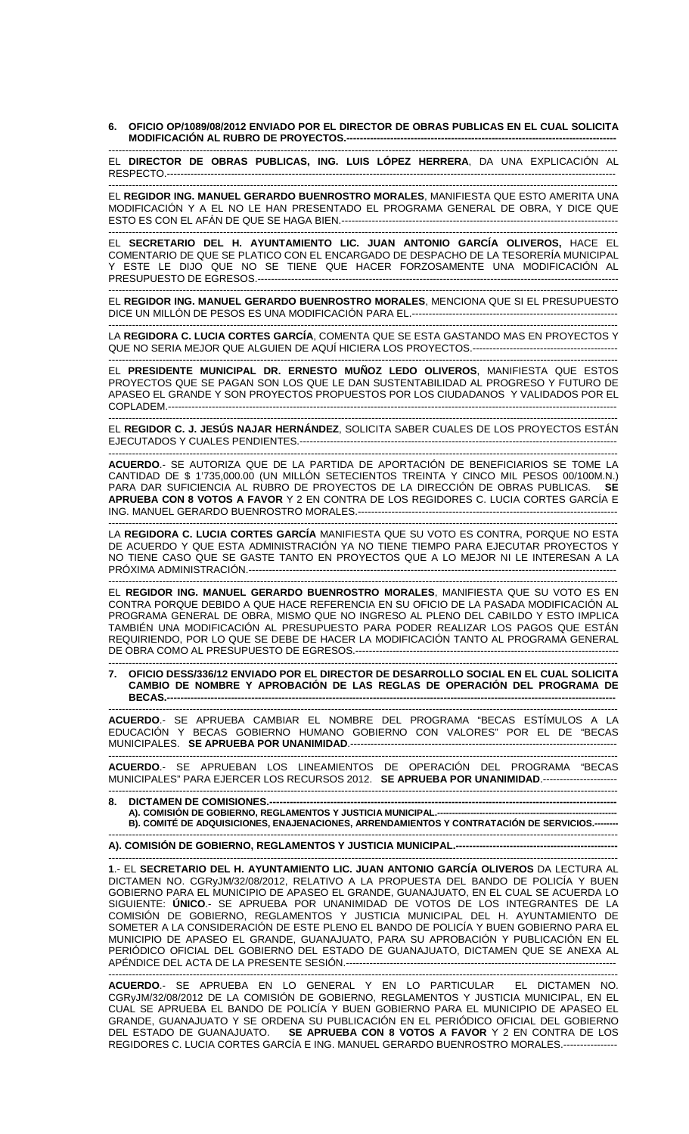**6. OFICIO OP/1089/08/2012 ENVIADO POR EL DIRECTOR DE OBRAS PUBLICAS EN EL CUAL SOLICITA MODIFICACIÓN AL RUBRO DE PROYECTOS.--------------------------------------------------------------------------------** 

------------------------------------------------------------------------------------------------------------------------------------------------------- EL **DIRECTOR DE OBRAS PUBLICAS, ING. LUIS LÓPEZ HERRERA**, DA UNA EXPLICACIÓN AL RESPECTO.-------------------------------------------------------------------------------------------------------------------------------------

EL **REGIDOR ING. MANUEL GERARDO BUENROSTRO MORALES**, MANIFIESTA QUE ESTO AMERITA UNA MODIFICACIÓN Y A EL NO LE HAN PRESENTADO EL PROGRAMA GENERAL DE OBRA, Y DICE QUE ESTO ES CON EL AFÁN DE QUE SE HAGA BIEN.----------------------------------------------------------------------------------

------------------------------------------------------------------------------------------------------------------------------------------------------- EL **SECRETARIO DEL H. AYUNTAMIENTO LIC. JUAN ANTONIO GARCÍA OLIVEROS,** HACE EL COMENTARIO DE QUE SE PLATICO CON EL ENCARGADO DE DESPACHO DE LA TESORERÍA MUNICIPAL ESTE LE DIJO QUE NO SE TIENE QUE HACER FORZOSAMENTE UNA MODIFICACIÓN AL PRESUPUESTO DE EGRESOS.-----------------------------------------------------------------------------------------------------------

------------------------------------------------------------------------------------------------------------------------------------------------------- EL **REGIDOR ING. MANUEL GERARDO BUENROSTRO MORALES**, MENCIONA QUE SI EL PRESUPUESTO DICE UN MILLÓN DE PESOS ES UNA MODIFICACIÓN PARA EL.-------------------------------------------------------------

------------------------------------------------------------------------------------------------------------------------------------------------------- LA **REGIDORA C. LUCIA CORTES GARCÍA**, COMENTA QUE SE ESTA GASTANDO MAS EN PROYECTOS Y QUE NO SERIA MEJOR QUE ALGUIEN DE AQUÍ HICIERA LOS PROYECTOS.-------------------------------------------

------------------------------------------------------------------------------------------------------------------------------------------------------- EL **PRESIDENTE MUNICIPAL DR. ERNESTO MUÑOZ LEDO OLIVEROS**, MANIFIESTA QUE ESTOS PROYECTOS QUE SE PAGAN SON LOS QUE LE DAN SUSTENTABILIDAD AL PROGRESO Y FUTURO DE APASEO EL GRANDE Y SON PROYECTOS PROPUESTOS POR LOS CIUDADANOS Y VALIDADOS POR EL COPLADEM.-------------------------------------------------------------------------------------------------------------------------------------

------------------------------------------------------------------------------------------------------------------------------------------------------- EL **REGIDOR C. J. JESÚS NAJAR HERNÁNDEZ**, SOLICITA SABER CUALES DE LOS PROYECTOS ESTÁN EJECUTADOS Y CUALES PENDIENTES.---------------------------

------------------------------------------------------------------------------------------------------------------------------------------------------- **ACUERDO**.- SE AUTORIZA QUE DE LA PARTIDA DE APORTACIÓN DE BENEFICIARIOS SE TOME LA CANTIDAD DE \$ 1'735,000.00 (UN MILLÓN SETECIENTOS TREINTA Y CINCO MIL PESOS 00/100M.N.) PARA DAR SUFICIENCIA AL RUBRO DE PROYECTOS DE LA DIRECCIÓN DE OBRAS PUBLICAS. **SE APRUEBA CON 8 VOTOS A FAVOR** Y 2 EN CONTRA DE LOS REGIDORES C. LUCIA CORTES GARCÍA E ING. MANUEL GERARDO BUENROSTRO MORALES.----

------------------------------------------------------------------------------------------------------------------------------------------------------- LA **REGIDORA C. LUCIA CORTES GARCÍA** MANIFIESTA QUE SU VOTO ES CONTRA, PORQUE NO ESTA DE ACUERDO Y QUE ESTA ADMINISTRACIÓN YA NO TIENE TIEMPO PARA EJECUTAR PROYECTOS Y NO TIENE CASO QUE SE GASTE TANTO EN PROYECTOS QUE A LO MEJOR NI LE INTERESAN A LA PRÓXIMA ADMINISTRACIÓN.-------------------------------------------------------------------------------------------------------------

------------------------------------------------------------------------------------------------------------------------------------------------------- EL **REGIDOR ING. MANUEL GERARDO BUENROSTRO MORALES**, MANIFIESTA QUE SU VOTO ES EN CONTRA PORQUE DEBIDO A QUE HACE REFERENCIA EN SU OFICIO DE LA PASADA MODIFICACIÓN AL PROGRAMA GENERAL DE OBRA, MISMO QUE NO INGRESO AL PLENO DEL CABILDO Y ESTO IMPLICA TAMBIÉN UNA MODIFICACIÓN AL PRESUPUESTO PARA PODER REALIZAR LOS PAGOS QUE ESTÁN REQUIRIENDO, POR LO QUE SE DEBE DE HACER LA MODIFICACIÓN TANTO AL PROGRAMA GENERAL DE OBRA COMO AL PRESUPUESTO DE EGRESOS.------------------------------------------------------------------------------

------------------------------------------------------------------------------------------------------------------------------------------------------- **7. OFICIO DESS/336/12 ENVIADO POR EL DIRECTOR DE DESARROLLO SOCIAL EN EL CUAL SOLICITA CAMBIO DE NOMBRE Y APROBACIÓN DE LAS REGLAS DE OPERACIÓN DEL PROGRAMA DE BECAS.-------------------------------------------------------------------------------------------------------------------------------------** 

------------------------------------------------------------------------------------------------------------------------------------------------------- **ACUERDO**.- SE APRUEBA CAMBIAR EL NOMBRE DEL PROGRAMA "BECAS ESTÍMULOS A LA EDUCACIÓN Y BECAS GOBIERNO HUMANO GOBIERNO CON VALORES" POR EL DE "BECAS MUNICIPALES. **SE APRUEBA POR UNANIMIDAD**.-------------------------------------------------------------------------------

------------------------------------------------------------------------------------------------------------------------------------------------------- **ACUERDO**.- SE APRUEBAN LOS LINEAMIENTOS DE OPERACIÓN DEL PROGRAMA "BECAS MUNICIPALES" PARA EJERCER LOS RECURSOS 2012. **SE APRUEBA POR UNANIMIDAD**.---------------------- -------------------------------------------------------------------------------------------------------------------------------------------------------

8. DICTAMEN DE COMISIONES.-**A). COMISIÓN DE GOBIERNO, REGLAMENTOS Y JUSTICIA MUNICIPAL.------------------------------------------------------------ B). COMITÉ DE ADQUISICIONES, ENAJENACIONES, ARRENDAMIENTOS Y CONTRATACIÓN DE SERVICIOS.--------** 

------------------------------------------------------------------------------------------------------------------------------------------------------- **A). COMISIÓN DE GOBIERNO, REGLAMENTOS Y JUSTICIA MUNICIPAL.------------------------------------------------** 

------------------------------------------------------------------------------------------------------------------------------------------------------- **1**.- EL **SECRETARIO DEL H. AYUNTAMIENTO LIC. JUAN ANTONIO GARCÍA OLIVEROS** DA LECTURA AL DICTAMEN NO. CGRyJM/32/08/2012, RELATIVO A LA PROPUESTA DEL BANDO DE POLICÍA Y BUEN GOBIERNO PARA EL MUNICIPIO DE APASEO EL GRANDE, GUANAJUATO, EN EL CUAL SE ACUERDA LO SIGUIENTE: **ÚNICO**.- SE APRUEBA POR UNANIMIDAD DE VOTOS DE LOS INTEGRANTES DE LA COMISIÓN DE GOBIERNO, REGLAMENTOS Y JUSTICIA MUNICIPAL DEL H. AYUNTAMIENTO DE SOMETER A LA CONSIDERACIÓN DE ESTE PLENO EL BANDO DE POLICÍA Y BUEN GOBIERNO PARA EL MUNICIPIO DE APASEO EL GRANDE, GUANAJUATO, PARA SU APROBACIÓN Y PUBLICACIÓN EN EL PERIÓDICO OFICIAL DEL GOBIERNO DEL ESTADO DE GUANAJUATO, DICTAMEN QUE SE ANEXA AL APÉNDICE DEL ACTA DE LA PRESENTE SESIÓN.--------------------------------------------------------------------------------

------------------------------------------------------------------------------------------------------------------------------------------------------- **ACUERDO**.- SE APRUEBA EN LO GENERAL Y EN LO PARTICULAR EL DICTAMEN NO. CGRyJM/32/08/2012 DE LA COMISION DE GOBIERNO, REGLAMENTOS Y JUSTICIA MUNICIPAL, EN EL CUAL SE APRUEBA EL BANDO DE POLICÍA Y BUEN GOBIERNO PARA EL MUNICIPIO DE APASEO EL GRANDE, GUANAJUATO Y SE ORDENA SU PUBLICACIÓN EN EL PERIÓDICO OFICIAL DEL GOBIERNO DEL ESTADO DE GUANAJUATO. **SE APRUEBA CON 8 VOTOS A FAVOR** Y 2 EN CONTRA DE LOS REGIDORES C. LUCIA CORTES GARCÍA E ING. MANUEL GERARDO BUENROSTRO MORALES.----------------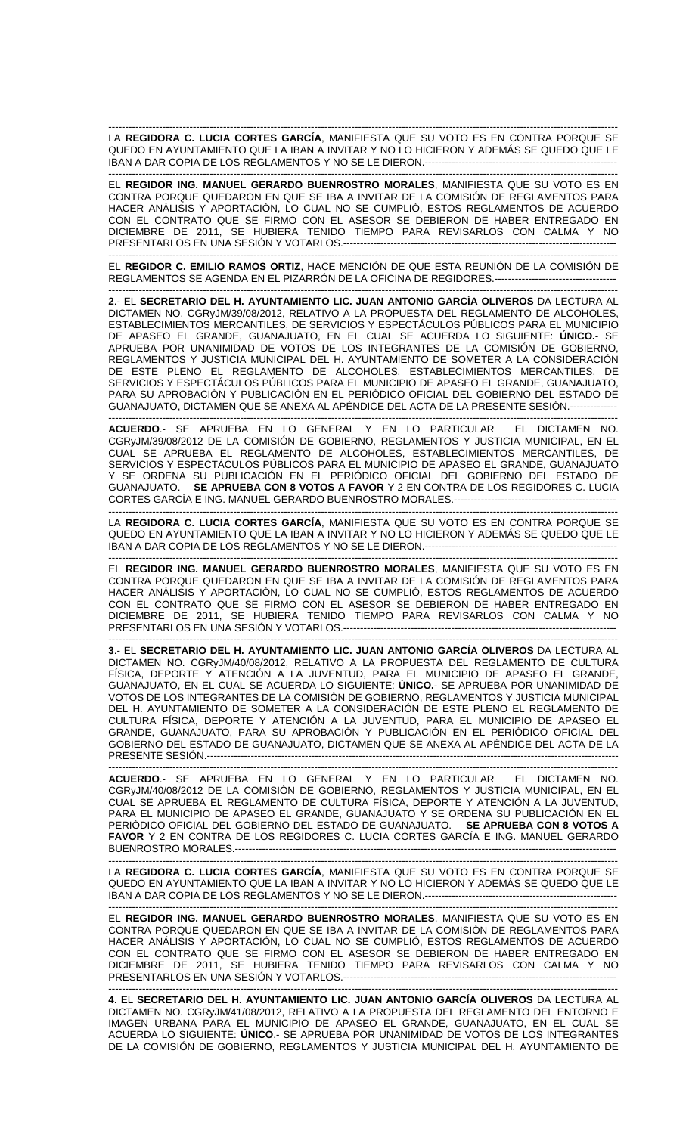------------------------------------------------------------------------------------------------------------------------------------------------------- LA **REGIDORA C. LUCIA CORTES GARCÍA**, MANIFIESTA QUE SU VOTO ES EN CONTRA PORQUE SE QUEDO EN AYUNTAMIENTO QUE LA IBAN A INVITAR Y NO LO HICIERON Y ADEMÁS SE QUEDO QUE LE IBAN A DAR COPIA DE LOS REGLAMENTOS Y NO SE LE DIERON.-----------------

------------------------------------------------------------------------------------------------------------------------------------------------------- EL **REGIDOR ING. MANUEL GERARDO BUENROSTRO MORALES**, MANIFIESTA QUE SU VOTO ES EN CONTRA PORQUE QUEDARON EN QUE SE IBA A INVITAR DE LA COMISIÓN DE REGLAMENTOS PARA HACER ANÁLISIS Y APORTACIÓN, LO CUAL NO SE CUMPLIÓ, ESTOS REGLAMENTOS DE ACUERDO CON EL CONTRATO QUE SE FIRMO CON EL ASESOR SE DEBIERON DE HABER ENTREGADO EN DICIEMBRE DE 2011, SE HUBIERA TENIDO TIEMPO PARA REVISARLOS CON CALMA Y NO PRESENTARLOS EN UNA SESIÓN Y VOTARLOS.---------------------------------------------------------------------------------

EL **REGIDOR C. EMILIO RAMOS ORTIZ**, HACE MENCIÓN DE QUE ESTA REUNIÓN DE LA COMISIÓN DE REGLAMENTOS SE AGENDA EN EL PIZARRÓN DE LA OFICINA DE REGIDORES.------------------------------------

-------------------------------------------------------------------------------------------------------------------------------------------------------

------------------------------------------------------------------------------------------------------------------------------------------------------- **2**.- EL **SECRETARIO DEL H. AYUNTAMIENTO LIC. JUAN ANTONIO GARCÍA OLIVEROS** DA LECTURA AL DICTAMEN NO. CGRyJM/39/08/2012, RELATIVO A LA PROPUESTA DEL REGLAMENTO DE ALCOHOLES, ESTABLECIMIENTOS MERCANTILES, DE SERVICIOS Y ESPECTÁCULOS PÚBLICOS PARA EL MUNICIPIO DE APASEO EL GRANDE, GUANAJUATO, EN EL CUAL SE ACUERDA LO SIGUIENTE: **ÚNICO.**- SE APRUEBA POR UNANIMIDAD DE VOTOS DE LOS INTEGRANTES DE LA COMISIÓN DE GOBIERNO, REGLAMENTOS Y JUSTICIA MUNICIPAL DEL H. AYUNTAMIENTO DE SOMETER A LA CONSIDERACIÓN DE ESTE PLENO EL REGLAMENTO DE ALCOHOLES, ESTABLECIMIENTOS MERCANTILES, DE SERVICIOS Y ESPECTÁCULOS PÚBLICOS PARA EL MUNICIPIO DE APASEO EL GRANDE, GUANAJUATO, PARA SU APROBACIÓN Y PUBLICACIÓN EN EL PERIÓDICO OFICIAL DEL GOBIERNO DEL ESTADO DE GUANAJUATO, DICTAMEN QUE SE ANEXA AL APÉNDICE DEL ACTA DE LA PRESENTE SESIÓN.--------------

------------------------------------------------------------------------------------------------------------------------------------------------------- **ACUERDO**.- SE APRUEBA EN LO GENERAL Y EN LO PARTICULAR EL DICTAMEN NO. CGRyJM/39/08/2012 DE LA COMISIÓN DE GOBIERNO, REGLAMENTOS Y JUSTICIA MUNICIPAL, EN EL CUAL SE APRUEBA EL REGLAMENTO DE ALCOHOLES, ESTABLECIMIENTOS MERCANTILES, DE SERVICIOS Y ESPECTÁCULOS PÚBLICOS PARA EL MUNICIPIO DE APASEO EL GRANDE, GUANAJUATO Y SE ORDENA SU PUBLICACIÓN EN EL PERIÓDICO OFICIAL DEL GOBIERNO DEL ESTADO DE GUANAJUATO. **SE APRUEBA CON 8 VOTOS A FAVOR** Y 2 EN CONTRA DE LOS REGIDORES C. LUCIA CORTES GARCÍA E ING. MANUEL GERARDO BUENROSTRO MORALES.------------------------------------------------

------------------------------------------------------------------------------------------------------------------------------------------------------- LA **REGIDORA C. LUCIA CORTES GARCÍA**, MANIFIESTA QUE SU VOTO ES EN CONTRA PORQUE SE QUEDO EN AYUNTAMIENTO QUE LA IBAN A INVITAR Y NO LO HICIERON Y ADEMÁS SE QUEDO QUE LE IBAN A DAR COPIA DE LOS REGLAMENTOS Y NO SE LE DIERON.---------------------------------------------------------

-------------------------------------------------------------------------------------------------------------------------------------------------------

EL **REGIDOR ING. MANUEL GERARDO BUENROSTRO MORALES**, MANIFIESTA QUE SU VOTO ES EN CONTRA PORQUE QUEDARON EN QUE SE IBA A INVITAR DE LA COMISIÓN DE REGLAMENTOS PARA HACER ANÁLISIS Y APORTACIÓN, LO CUAL NO SE CUMPLIÓ, ESTOS REGLAMENTOS DE ACUERDO CON EL CONTRATO QUE SE FIRMO CON EL ASESOR SE DEBIERON DE HABER ENTREGADO EN DICIEMBRE DE 2011, SE HUBIERA TENIDO TIEMPO PARA REVISARLOS CON CALMA Y NO PRESENTARLOS EN UNA SESIÓN Y VOTARLOS.---------------------------------------------------------------------------------

------------------------------------------------------------------------------------------------------------------------------------------------------- **3**.- EL **SECRETARIO DEL H. AYUNTAMIENTO LIC. JUAN ANTONIO GARCÍA OLIVEROS** DA LECTURA AL DICTAMEN NO. CGRyJM/40/08/2012, RELATIVO A LA PROPUESTA DEL REGLAMENTO DE CULTURA FÍSICA, DEPORTE Y ATENCIÓN A LA JUVENTUD, PARA EL MUNICIPIO DE APASEO EL GRANDE, GUANAJUATO, EN EL CUAL SE ACUERDA LO SIGUIENTE: **ÚNICO.**- SE APRUEBA POR UNANIMIDAD DE VOTOS DE LOS INTEGRANTES DE LA COMISIÓN DE GOBIERNO, REGLAMENTOS Y JUSTICIA MUNICIPAL DEL H. AYUNTAMIENTO DE SOMETER A LA CONSIDERACIÓN DE ESTE PLENO EL REGLAMENTO DE CULTURA FÍSICA, DEPORTE Y ATENCIÓN A LA JUVENTUD, PARA EL MUNICIPIO DE APASEO EL GRANDE, GUANAJUATO, PARA SU APROBACIÓN Y PUBLICACIÓN EN EL PERIÓDICO OFICIAL DEL GOBIERNO DEL ESTADO DE GUANAJUATO, DICTAMEN QUE SE ANEXA AL APÉNDICE DEL ACTA DE LA PRESENTE SESIÓN.--------------------------------------------------------------------------------------------------------------------------

------------------------------------------------------------------------------------------------------------------------------------------------------- **ACUERDO**.- SE APRUEBA EN LO GENERAL Y EN LO PARTICULAR EL DICTAMEN NO. CGRyJM/40/08/2012 DE LA COMISIÓN DE GOBIERNO, REGLAMENTOS Y JUSTICIA MUNICIPAL, EN EL CUAL SE APRUEBA EL REGLAMENTO DE CULTURA FÍSICA, DEPORTE Y ATENCIÓN A LA JUVENTUD, PARA EL MUNICIPIO DE APASEO EL GRANDE, GUANAJUATO Y SE ORDENA SU PUBLICACIÓN EN EL PERIÓDICO OFICIAL DEL GOBIERNO DEL ESTADO DE GUANAJUATO. **SE APRUEBA CON 8 VOTOS A FAVOR** Y 2 EN CONTRA DE LOS REGIDORES C. LUCIA CORTES GARCÍA E ING. MANUEL GERARDO BUENROSTRO MORALES.-----------------------------------------------------------------------------------------------------------------

LA **REGIDORA C. LUCIA CORTES GARCÍA**, MANIFIESTA QUE SU VOTO ES EN CONTRA PORQUE SE QUEDO EN AYUNTAMIENTO QUE LA IBAN A INVITAR Y NO LO HICIERON Y ADEMÁS SE QUEDO QUE LE IBAN A DAR COPIA DE LOS REGLAMENTOS Y NO SE LE DIERON.---------------------------------------------------------

-------------------------------------------------------------------------------------------------------------------------------------------------------

------------------------------------------------------------------------------------------------------------------------------------------------------- EL **REGIDOR ING. MANUEL GERARDO BUENROSTRO MORALES**, MANIFIESTA QUE SU VOTO ES EN CONTRA PORQUE QUEDARON EN QUE SE IBA A INVITAR DE LA COMISIÓN DE REGLAMENTOS PARA HACER ANÁLISIS Y APORTACIÓN, LO CUAL NO SE CUMPLIÓ, ESTOS REGLAMENTOS DE ACUERDO CON EL CONTRATO QUE SE FIRMO CON EL ASESOR SE DEBIERON DE HABER ENTREGADO EN DICIEMBRE DE 2011, SE HUBIERA TENIDO TIEMPO PARA REVISARLOS CON CALMA Y NO PRESENTARLOS EN UNA SESIÓN Y VOTARLOS.---------------------------------------------------------------------------------

------------------------------------------------------------------------------------------------------------------------------------------------------- **4**. EL **SECRETARIO DEL H. AYUNTAMIENTO LIC. JUAN ANTONIO GARCÍA OLIVEROS** DA LECTURA AL DICTAMEN NO. CGRyJM/41/08/2012, RELATIVO A LA PROPUESTA DEL REGLAMENTO DEL ENTORNO E IMAGEN URBANA PARA EL MUNICIPIO DE APASEO EL GRANDE, GUANAJUATO, EN EL CUAL SE ACUERDA LO SIGUIENTE: **ÚNICO**.- SE APRUEBA POR UNANIMIDAD DE VOTOS DE LOS INTEGRANTES DE LA COMISIÓN DE GOBIERNO, REGLAMENTOS Y JUSTICIA MUNICIPAL DEL H. AYUNTAMIENTO DE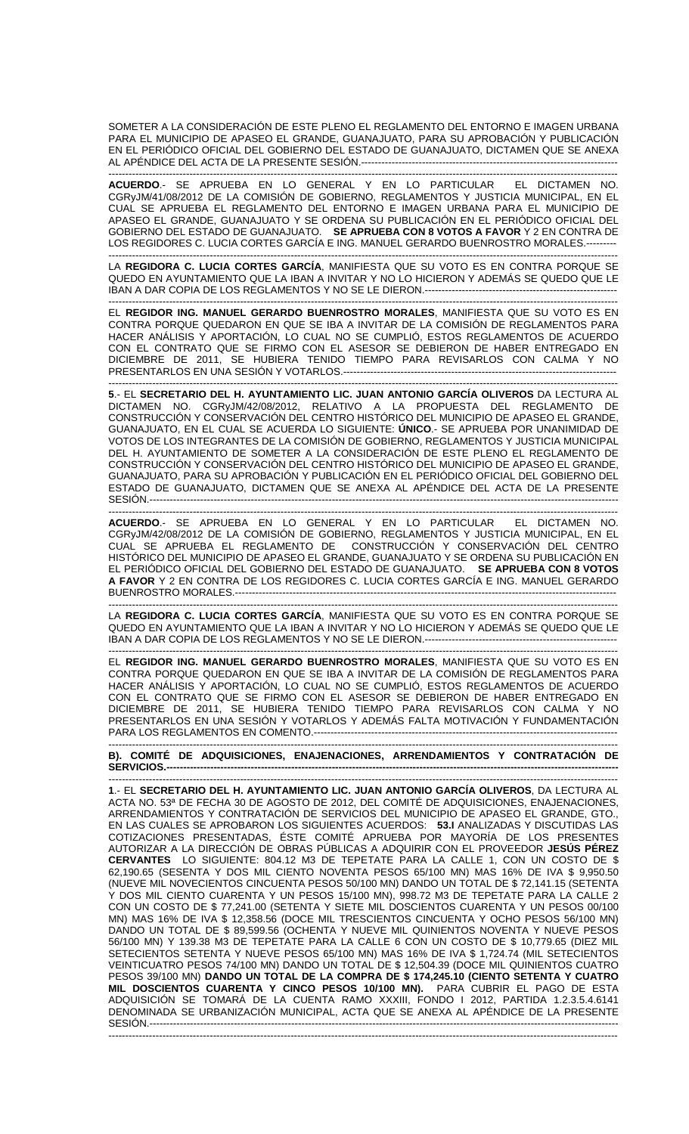SOMETER A LA CONSIDERACIÓN DE ESTE PLENO EL REGLAMENTO DEL ENTORNO E IMAGEN URBANA PARA EL MUNICIPIO DE APASEO EL GRANDE, GUANAJUATO, PARA SU APROBACIÓN Y PUBLICACIÓN EN EL PERIÓDICO OFICIAL DEL GOBIERNO DEL ESTADO DE GUANAJUATO, DICTAMEN QUE SE ANEXA AL APÉNDICE DEL ACTA DE LA PRESENTE SESIÓN.--------

------------------------------------------------------------------------------------------------------------------------------------------------------- **ACUERDO**.- SE APRUEBA EN LO GENERAL Y EN LO PARTICULAR EL DICTAMEN NO. CGRyJM/41/08/2012 DE LA COMISIÓN DE GOBIERNO, REGLAMENTOS Y JUSTICIA MUNICIPAL, EN EL CUAL SE APRUEBA EL REGLAMENTO DEL ENTORNO E IMAGEN URBANA PARA EL MUNICIPIO DE APASEO EL GRANDE, GUANAJUATO Y SE ORDENA SU PUBLICACIÓN EN EL PERIÓDICO OFICIAL DEL GOBIERNO DEL ESTADO DE GUANAJUATO. **SE APRUEBA CON 8 VOTOS A FAVOR** Y 2 EN CONTRA DE LOS REGIDORES C. LUCIA CORTES GARCÍA E ING. MANUEL GERARDO BUENROSTRO MORALES.---------

------------------------------------------------------------------------------------------------------------------------------------------------------- LA **REGIDORA C. LUCIA CORTES GARCÍA**, MANIFIESTA QUE SU VOTO ES EN CONTRA PORQUE SE QUEDO EN AYUNTAMIENTO QUE LA IBAN A INVITAR Y NO LO HICIERON Y ADEMÁS SE QUEDO QUE LE IBAN A DAR COPIA DE LOS REGLAMENTOS Y NO SE LE DIERON.----

------------------------------------------------------------------------------------------------------------------------------------------------------- EL **REGIDOR ING. MANUEL GERARDO BUENROSTRO MORALES**, MANIFIESTA QUE SU VOTO ES EN CONTRA PORQUE QUEDARON EN QUE SE IBA A INVITAR DE LA COMISIÓN DE REGLAMENTOS PARA HACER ANÁLISIS Y APORTACIÓN, LO CUAL NO SE CUMPLIÓ, ESTOS REGLAMENTOS DE ACUERDO CON EL CONTRATO QUE SE FIRMO CON EL ASESOR SE DEBIERON DE HABER ENTREGADO EN DICIEMBRE DE 2011, SE HUBIERA TENIDO TIEMPO PARA REVISARLOS CON CALMA Y NO PRESENTARLOS EN UNA SESIÓN Y VOTARLOS.---------------------------------------------------------------------------------

------------------------------------------------------------------------------------------------------------------------------------------------------- **5**.- EL **SECRETARIO DEL H. AYUNTAMIENTO LIC. JUAN ANTONIO GARCÍA OLIVEROS** DA LECTURA AL DICTAMEN NO. CGRyJM/42/08/2012, RELATIVO A LA PROPUESTA DEL REGLAMENTO DE CONSTRUCCIÓN Y CONSERVACIÓN DEL CENTRO HISTÓRICO DEL MUNICIPIO DE APASEO EL GRANDE, GUANAJUATO, EN EL CUAL SE ACUERDA LO SIGUIENTE: **ÚNICO**.- SE APRUEBA POR UNANIMIDAD DE VOTOS DE LOS INTEGRANTES DE LA COMISIÓN DE GOBIERNO, REGLAMENTOS Y JUSTICIA MUNICIPAL DEL H. AYUNTAMIENTO DE SOMETER A LA CONSIDERACIÓN DE ESTE PLENO EL REGLAMENTO DE CONSTRUCCIÓN Y CONSERVACIÓN DEL CENTRO HISTÓRICO DEL MUNICIPIO DE APASEO EL GRANDE, GUANAJUATO, PARA SU APROBACIÓN Y PUBLICACIÓN EN EL PERIÓDICO OFICIAL DEL GOBIERNO DEL ESTADO DE GUANAJUATO, DICTAMEN QUE SE ANEXA AL APÉNDICE DEL ACTA DE LA PRESENTE SESIÓN.-------------------------------------------------------------------------------------------------------------------------------------------

------------------------------------------------------------------------------------------------------------------------------------------------------- **ACUERDO**.- SE APRUEBA EN LO GENERAL Y EN LO PARTICULAR EL DICTAMEN NO. CGRyJM/42/08/2012 DE LA COMISIÓN DE GOBIERNO, REGLAMENTOS Y JUSTICIA MUNICIPAL, EN EL CUAL SE APRUEBA EL REGLAMENTO DE CONSTRUCCIÓN Y CONSERVACIÓN DEL CENTRO HISTÓRICO DEL MUNICIPIO DE APASEO EL GRANDE, GUANAJUATO Y SE ORDENA SU PUBLICACIÓN EN EL PERIÓDICO OFICIAL DEL GOBIERNO DEL ESTADO DE GUANAJUATO. **SE APRUEBA CON 8 VOTOS A FAVOR** Y 2 EN CONTRA DE LOS REGIDORES C. LUCIA CORTES GARCÍA E ING. MANUEL GERARDO BUENROSTRO MORALES.-------------------

------------------------------------------------------------------------------------------------------------------------------------------------------- LA **REGIDORA C. LUCIA CORTES GARCÍA**, MANIFIESTA QUE SU VOTO ES EN CONTRA PORQUE SE QUEDO EN AYUNTAMIENTO QUE LA IBAN A INVITAR Y NO LO HICIERON Y ADEMÁS SE QUEDO QUE LE IBAN A DAR COPIA DE LOS REGLAMENTOS Y NO SE LE DIERON.-------------

------------------------------------------------------------------------------------------------------------------------------------------------------- EL **REGIDOR ING. MANUEL GERARDO BUENROSTRO MORALES**, MANIFIESTA QUE SU VOTO ES EN CONTRA PORQUE QUEDARON EN QUE SE IBA A INVITAR DE LA COMISIÓN DE REGLAMENTOS PARA HACER ANÁLISIS Y APORTACIÓN, LO CUAL NO SE CUMPLIÓ, ESTOS REGLAMENTOS DE ACUERDO CON EL CONTRATO QUE SE FIRMO CON EL ASESOR SE DEBIERON DE HABER ENTREGADO EN DICIEMBRE DE 2011, SE HUBIERA TENIDO TIEMPO PARA REVISARLOS CON CALMA Y NO PRESENTARLOS EN UNA SESIÓN Y VOTARLOS Y ADEMÁS FALTA MOTIVACIÓN Y FUNDAMENTACIÓN PARA LOS REGLAMENTOS EN COMENTO.---

------------------------------------------------------------------------------------------------------------------------------------------------------- **B). COMITÉ DE ADQUISICIONES, ENAJENACIONES, ARRENDAMIENTOS Y CONTRATACIÓN DE SERVICIOS.--------------------------------------------------------------------------------------------------------------------------------------** 

------------------------------------------------------------------------------------------------------------------------------------------------------- **1**.- EL **SECRETARIO DEL H. AYUNTAMIENTO LIC. JUAN ANTONIO GARCÍA OLIVEROS**, DA LECTURA AL ACTA NO. 53ª DE FECHA 30 DE AGOSTO DE 2012, DEL COMITÉ DE ADQUISICIONES, ENAJENACIONES, ARRENDAMIENTOS Y CONTRATACIÓN DE SERVICIOS DEL MUNICIPIO DE APASEO EL GRANDE, GTO., EN LAS CUALES SE APROBARON LOS SIGUIENTES ACUERDOS: **53.I** ANALIZADAS Y DISCUTIDAS LAS COTIZACIONES PRESENTADAS, ÉSTE COMITÉ APRUEBA POR MAYORÍA DE LOS PRESENTES AUTORIZAR A LA DIRECCIÓN DE OBRAS PÚBLICAS A ADQUIRIR CON EL PROVEEDOR **JESÚS PÉREZ CERVANTES** LO SIGUIENTE: 804.12 M3 DE TEPETATE PARA LA CALLE 1, CON UN COSTO DE \$ 62,190.65 (SESENTA Y DOS MIL CIENTO NOVENTA PESOS 65/100 MN) MAS 16% DE IVA \$ 9,950.50 (NUEVE MIL NOVECIENTOS CINCUENTA PESOS 50/100 MN) DANDO UN TOTAL DE \$ 72,141.15 (SETENTA Y DOS MIL CIENTO CUARENTA Y UN PESOS 15/100 MN), 998.72 M3 DE TEPETATE PARA LA CALLE 2 CON UN COSTO DE \$ 77,241.00 (SETENTA Y SIETE MIL DOSCIENTOS CUARENTA Y UN PESOS 00/100 MN) MAS 16% DE IVA \$ 12,358.56 (DOCE MIL TRESCIENTOS CINCUENTA Y OCHO PESOS 56/100 MN) DANDO UN TOTAL DE \$ 89,599.56 (OCHENTA Y NUEVE MIL QUINIENTOS NOVENTA Y NUEVE PESOS 56/100 MN) Y 139.38 M3 DE TEPETATE PARA LA CALLE 6 CON UN COSTO DE \$ 10,779.65 (DIEZ MIL SETECIENTOS SETENTA Y NUEVE PESOS 65/100 MN) MAS 16% DE IVA \$ 1,724.74 (MIL SETECIENTOS VEINTICUATRO PESOS 74/100 MN) DANDO UN TOTAL DE \$ 12,504.39 (DOCE MIL QUINIENTOS CUATRO PESOS 39/100 MN) **DANDO UN TOTAL DE LA COMPRA DE \$ 174,245.10 (CIENTO SETENTA Y CUATRO MIL DOSCIENTOS CUARENTA Y CINCO PESOS 10/100 MN).** PARA CUBRIR EL PAGO DE ESTA ADQUISICIÓN SE TOMARÁ DE LA CUENTA RAMO XXXIII, FONDO I 2012, PARTIDA 1.2.3.5.4.6141 DENOMINADA SE URBANIZACIÓN MUNICIPAL, ACTA QUE SE ANEXA AL APÉNDICE DE LA PRESENTE SESIÓN.------------------------------------------------------------------------------------------------------------------------------------------- -------------------------------------------------------------------------------------------------------------------------------------------------------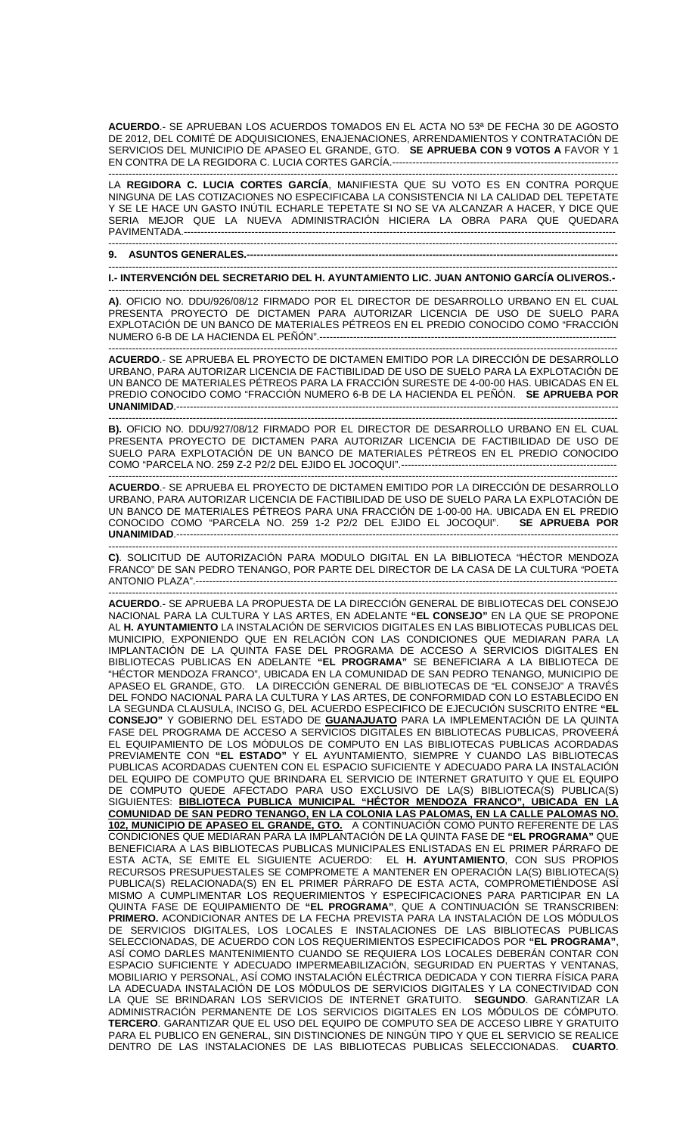**ACUERDO**.- SE APRUEBAN LOS ACUERDOS TOMADOS EN EL ACTA NO 53ª DE FECHA 30 DE AGOSTO DE 2012, DEL COMITÉ DE ADQUISICIONES, ENAJENACIONES, ARRENDAMIENTOS Y CONTRATACIÓN DE SERVICIOS DEL MUNICIPIO DE APASEO EL GRANDE, GTO. **SE APRUEBA CON 9 VOTOS A** FAVOR Y 1 EN CONTRA DE LA REGIDORA C. LUCIA CORTES GARCÍA.--------

------------------------------------------------------------------------------------------------------------------------------------------------------- LA **REGIDORA C. LUCIA CORTES GARCÍA**, MANIFIESTA QUE SU VOTO ES EN CONTRA PORQUE NINGUNA DE LAS COTIZACIONES NO ESPECIFICABA LA CONSISTENCIA NI LA CALIDAD DEL TEPETATE Y SE LE HACE UN GASTO INÚTIL ECHARLE TEPETATE SI NO SE VA ALCANZAR A HACER, Y DICE QUE SERIA MEJOR QUE LA NUEVA ADMINISTRACIÓN HICIERA LA OBRA PARA QUE QUEDARA PAVIMENTADA.--------------------------------------------------------------------------------------------------------------------------------

------------------------------------------------------------------------------------------------------------------------------------------------------- **9. ASUNTOS GENERALES.--------------------------------------------------------------------------------------------------------------** 

------------------------------------------------------------------------------------------------------------------------------------------------------- **I.- INTERVENCIÓN DEL SECRETARIO DEL H. AYUNTAMIENTO LIC. JUAN ANTONIO GARCÍA OLIVEROS.-** 

------------------------------------------------------------------------------------------------------------------------------------------------------- **A)**. OFICIO NO. DDU/926/08/12 FIRMADO POR EL DIRECTOR DE DESARROLLO URBANO EN EL CUAL PRESENTA PROYECTO DE DICTAMEN PARA AUTORIZAR LICENCIA DE USO DE SUELO PARA EXPLOTACIÓN DE UN BANCO DE MATERIALES PÉTREOS EN EL PREDIO CONOCIDO COMO "FRACCIÓN NUMERO 6-B DE LA HACIENDA EL PEÑÓN".----------------------------------------------------------------------------------------

------------------------------------------------------------------------------------------------------------------------------------------------------- **ACUERDO**.- SE APRUEBA EL PROYECTO DE DICTAMEN EMITIDO POR LA DIRECCIÓN DE DESARROLLO URBANO, PARA AUTORIZAR LICENCIA DE FACTIBILIDAD DE USO DE SUELO PARA LA EXPLOTACIÓN DE UN BANCO DE MATERIALES PÉTREOS PARA LA FRACCIÓN SURESTE DE 4-00-00 HAS. UBICADAS EN EL PREDIO CONOCIDO COMO "FRACCIÓN NUMERO 6-B DE LA HACIENDA EL PEÑÓN. **SE APRUEBA POR UNANIMIDAD**.-----------------------------------------------------------------------------------------------------------------------------------

------------------------------------------------------------------------------------------------------------------------------------------------------- **B).** OFICIO NO. DDU/927/08/12 FIRMADO POR EL DIRECTOR DE DESARROLLO URBANO EN EL CUAL PRESENTA PROYECTO DE DICTAMEN PARA AUTORIZAR LICENCIA DE FACTIBILIDAD DE USO DE SUELO PARA EXPLOTACIÓN DE UN BANCO DE MATERIALES PÉTREOS EN EL PREDIO CONOCIDO COMO "PARCELA NO. 259 Z-2 P2/2 DEL EJIDO EL JOCOQUI".----------------------------------------------------------------

------------------------------------------------------------------------------------------------------------------------------------------------------- **ACUERDO**.- SE APRUEBA EL PROYECTO DE DICTAMEN EMITIDO POR LA DIRECCIÓN DE DESARROLLO URBANO, PARA AUTORIZAR LICENCIA DE FACTIBILIDAD DE USO DE SUELO PARA LA EXPLOTACIÓN DE UN BANCO DE MATERIALES PÉTREOS PARA UNA FRACCIÓN DE 1-00-00 HA. UBICADA EN EL PREDIO CONOCIDO COMO "PARCELA NO. 259 1-2 P2/2 DEL EJIDO EL JOCOQUI". **SE APRUEBA POR UNANIMIDAD.---------**

**C)**. SOLICITUD DE AUTORIZACIÓN PARA MODULO DIGITAL EN LA BIBLIOTECA "HÉCTOR MENDOZA FRANCO" DE SAN PEDRO TENANGO, POR PARTE DEL DIRECTOR DE LA CASA DE LA CULTURA "POETA ANTONIO PLAZA".-----------------------------------------------------------------------------------------------------------------------------

-------------------------------------------------------------------------------------------------------------------------------------------------------

------------------------------------------------------------------------------------------------------------------------------------------------------- **ACUERDO**.- SE APRUEBA LA PROPUESTA DE LA DIRECCIÓN GENERAL DE BIBLIOTECAS DEL CONSEJO NACIONAL PARA LA CULTURA Y LAS ARTES, EN ADELANTE **"EL CONSEJO"** EN LA QUE SE PROPONE AL **H. AYUNTAMIENTO** LA INSTALACIÓN DE SERVICIOS DIGITALES EN LAS BIBLIOTECAS PUBLICAS DEL MUNICIPIO, EXPONIENDO QUE EN RELACIÓN CON LAS CONDICIONES QUE MEDIARAN PARA LA IMPLANTACIÓN DE LA QUINTA FASE DEL PROGRAMA DE ACCESO A SERVICIOS DIGITALES EN BIBLIOTECAS PUBLICAS EN ADELANTE **"EL PROGRAMA"** SE BENEFICIARA A LA BIBLIOTECA DE "HÉCTOR MENDOZA FRANCO", UBICADA EN LA COMUNIDAD DE SAN PEDRO TENANGO, MUNICIPIO DE APASEO EL GRANDE, GTO. LA DIRECCIÓN GENERAL DE BIBLIOTECAS DE "EL CONSEJO" A TRAVÉS DEL FONDO NACIONAL PARA LA CULTURA Y LAS ARTES, DE CONFORMIDAD CON LO ESTABLECIDO EN LA SEGUNDA CLAUSULA, INCISO G, DEL ACUERDO ESPECIFICO DE EJECUCIÓN SUSCRITO ENTRE **"EL CONSEJO"** Y GOBIERNO DEL ESTADO DE **GUANAJUATO** PARA LA IMPLEMENTACIÓN DE LA QUINTA FASE DEL PROGRAMA DE ACCESO A SERVICIOS DIGITALES EN BIBLIOTECAS PUBLICAS, PROVEERÁ EL EQUIPAMIENTO DE LOS MÓDULOS DE COMPUTO EN LAS BIBLIOTECAS PUBLICAS ACORDADAS PREVIAMENTE CON **"EL ESTADO"** Y EL AYUNTAMIENTO, SIEMPRE Y CUANDO LAS BIBLIOTECAS PUBLICAS ACORDADAS CUENTEN CON EL ESPACIO SUFICIENTE Y ADECUADO PARA LA INSTALACIÓN DEL EQUIPO DE COMPUTO QUE BRINDARA EL SERVICIO DE INTERNET GRATUITO Y QUE EL EQUIPO DE COMPUTO QUEDE AFECTADO PARA USO EXCLUSIVO DE LA(S) BIBLIOTECA(S) PUBLICA(S) SIGUIENTES: **BIBLIOTECA PUBLICA MUNICIPAL "HÉCTOR MENDOZA FRANCO", UBICADA EN LA COMUNIDAD DE SAN PEDRO TENANGO, EN LA COLONIA LAS PALOMAS, EN LA CALLE PALOMAS NO. 102, MUNICIPIO DE APASEO EL GRANDE, GTO.** A CONTINUACIÓN COMO PUNTO REFERENTE DE LAS CONDICIONES QUE MEDIARAN PARA LA IMPLANTACIÓN DE LA QUINTA FASE DE **"EL PROGRAMA"** QUE BENEFICIARA A LAS BIBLIOTECAS PUBLICAS MUNICIPALES ENLISTADAS EN EL PRIMER PÁRRAFO DE ESTA ACTA, SE EMITE EL SIGUIENTE ACUERDO: EL **H. AYUNTAMIENTO**, CON SUS PROPIOS RECURSOS PRESUPUESTALES SE COMPROMETE A MANTENER EN OPERACIÓN LA(S) BIBLIOTECA(S) PUBLICA(S) RELACIONADA(S) EN EL PRIMER PÁRRAFO DE ESTA ACTA, COMPROMETIÉNDOSE ASÍ MISMO A CUMPLIMENTAR LOS REQUERIMIENTOS Y ESPECIFICACIONES PARA PARTICIPAR EN LA QUINTA FASE DE EQUIPAMIENTO DE **"EL PROGRAMA"**, QUE A CONTINUACIÓN SE TRANSCRIBEN: **PRIMERO.** ACONDICIONAR ANTES DE LA FECHA PREVISTA PARA LA INSTALACIÓN DE LOS MÓDULOS DE SERVICIOS DIGITALES, LOS LOCALES E INSTALACIONES DE LAS BIBLIOTECAS PUBLICAS SELECCIONADAS, DE ACUERDO CON LOS REQUERIMIENTOS ESPECIFICADOS POR **"EL PROGRAMA"**, ASÍ COMO DARLES MANTENIMIENTO CUANDO SE REQUIERA LOS LOCALES DEBERÁN CONTAR CON ESPACIO SUFICIENTE Y ADECUADO IMPERMEABILIZACIÓN, SEGURIDAD EN PUERTAS Y VENTANAS, MOBILIARIO Y PERSONAL, ASÍ COMO INSTALACIÓN ELÉCTRICA DEDICADA Y CON TIERRA FÍSICA PARA LA ADECUADA INSTALACIÓN DE LOS MÓDULOS DE SERVICIOS DIGITALES Y LA CONECTIVIDAD CON LA QUE SE BRINDARAN LOS SERVICIOS DE INTERNET GRATUITO. **SEGUNDO**. GARANTIZAR LA ADMINISTRACIÓN PERMANENTE DE LOS SERVICIOS DIGITALES EN LOS MÓDULOS DE CÓMPUTO. **TERCERO**. GARANTIZAR QUE EL USO DEL EQUIPO DE COMPUTO SEA DE ACCESO LIBRE Y GRATUITO PARA EL PUBLICO EN GENERAL, SIN DISTINCIONES DE NINGÚN TIPO Y QUE EL SERVICIO SE REALICE DENTRO DE LAS INSTALACIONES DE LAS BIBLIOTECAS PUBLICAS SELECCIONADAS. **CUARTO**.